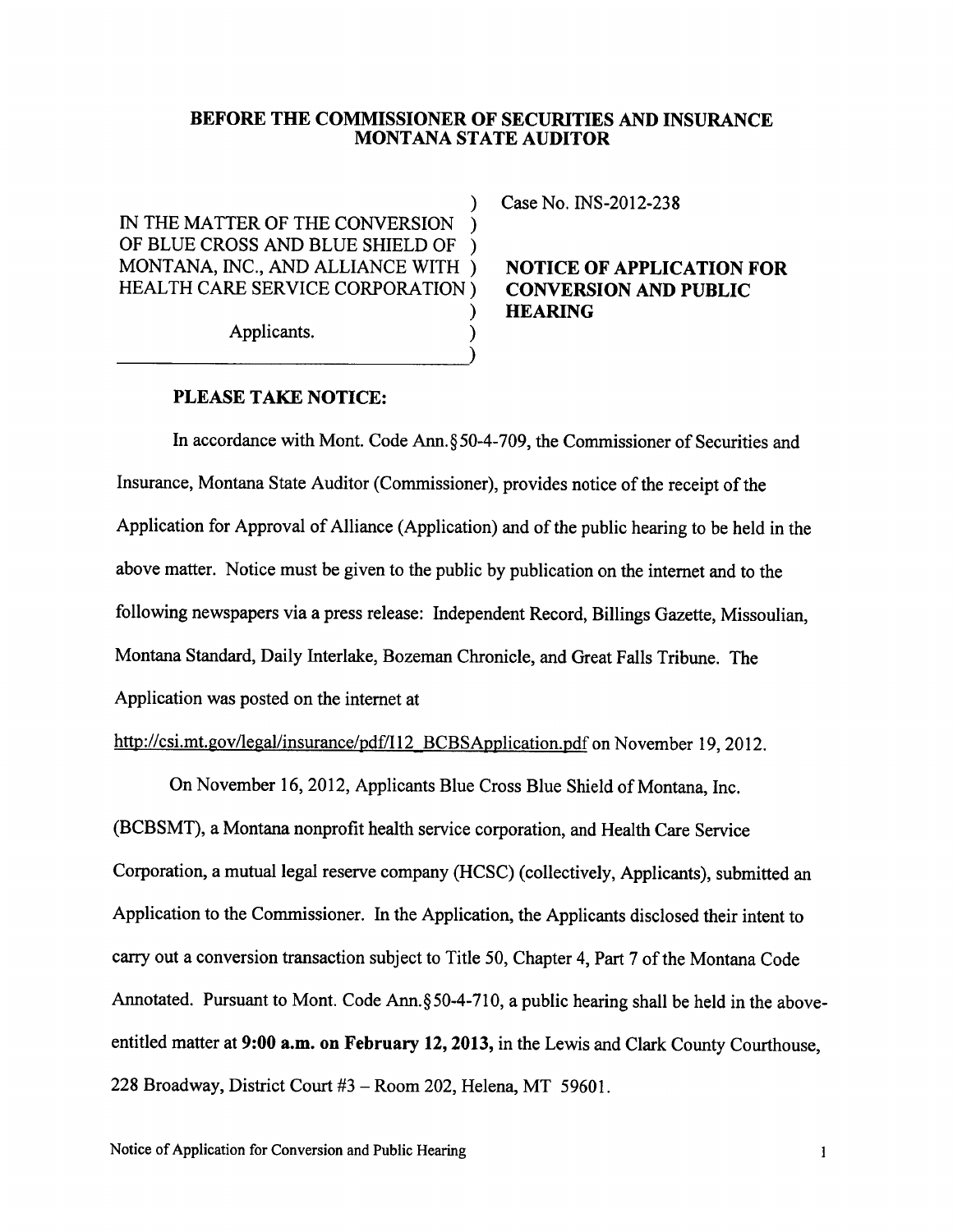## BEFORE THE COMMISSIONER OF SECURITIES AND INSURANCE MONTANA STATE AUDITOR

IN THE MATTER OF THE CONVERSION OF BLUE CROSS AND BLUE SHIELD OF MONTANA, INC., AND ALLIANCE WITH ) NOTICE OF APPLICATION FOR HEALTH CARE SERVICE CORPORATION ) CONVERSION AND PUBLIC HEALTH CARE SERVICE CORPORATION )

Applicants. )

) Case No. INS-2012-238

## ) HEARING

## PLEASE TAKE NOTICE:

In accordance with Mont. Code Ann.\$ 50-4-709, the Commissioner of Securities and Insurance, Montana State Auditor (Commissioner), provides notice of the receipt of the Application for Approval of Alliance (Application) and of the public hearing to be held in the above matter. Notice must be given to the public by publication on the internet and to the following newspapers via a press release: Independent Record, Billings Gazette, Missoulian, Montana Standard, Daily lnterlake, Bozeman Chronicle, and Great Falls Tribune. The Application was posted on the intemet at

 $\overline{\ }$ 

http://csi.mt.gov/legal/insurance/pdf/I12 BCBSApplication.pdf on November 19, 2012.

On November 16, 2012, Applicants Blue Cross Blue Shield of Montana, Inc. (BCBSMT), a Montana nonprofit health service corporation, and Health Care Service Corporation, a mutual legal reserve company (HCSC) (collectively, Applicants), submitted an Application to the Commissioner. In the Application, the Applicants disclosed their intent to carry out a conversion transaction subject to Title 50, Chapter 4, Part 7 of the Montana Code Annotated. Pursuant to Mont. Code Ann.  $\S$ 50-4-710, a public hearing shall be held in the aboveentitled matter at 9:00 a.m. on February 12, 2013, in the Lewis and Clark County Courthouse, 228 Broadway, District Court #3 - Room 202, Helena, MT 59601.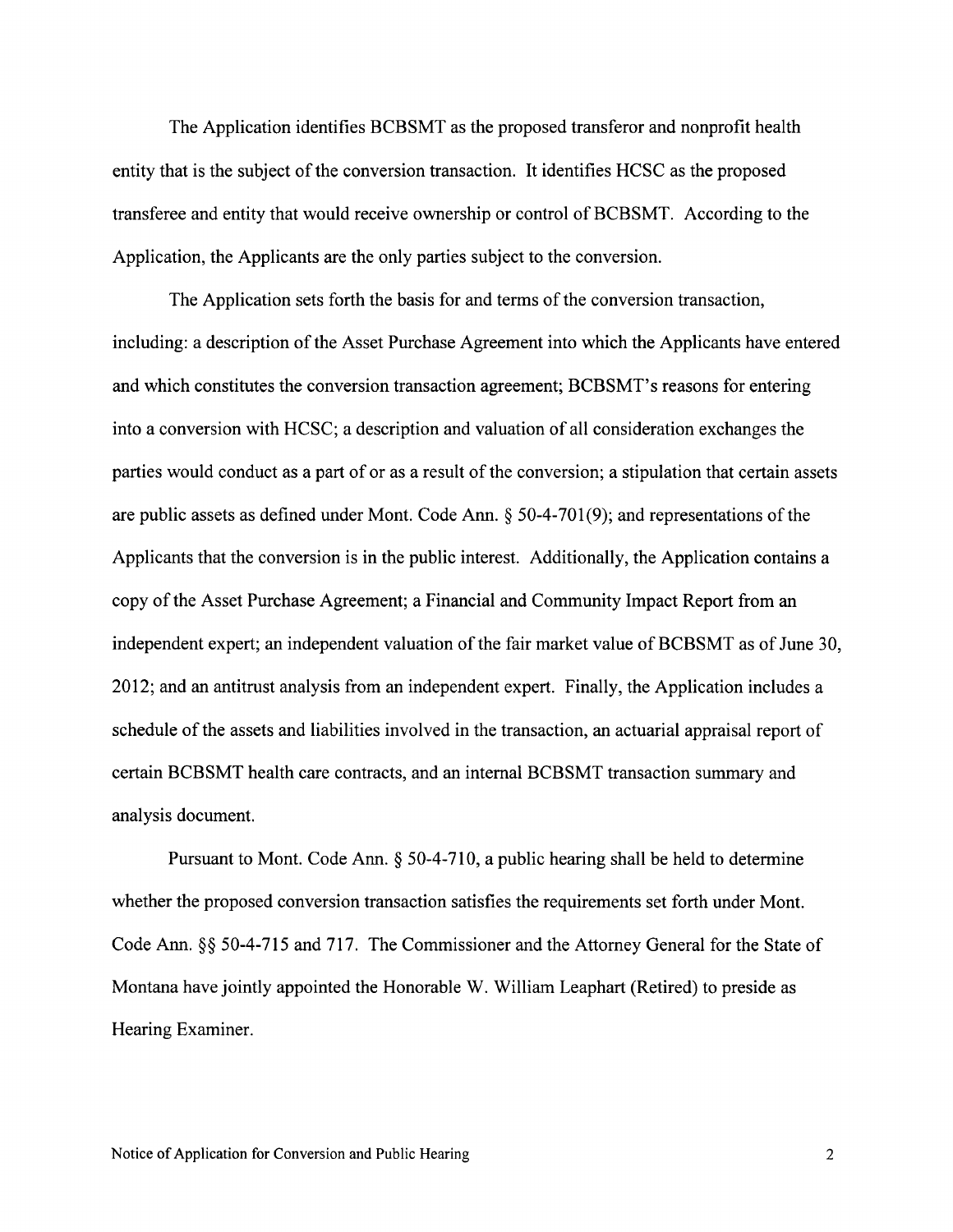The Application identifies BCBSMT as the proposed transferor and nonprofit health entity that is the subject of the conversion transaction. It identifies HCSC as the proposed transferee and entity that would receive ownership or control of BCBSMT. According to the Application, the Applicants are the only parties subject to the conversion.

The Application sets forth the basis for and terms of the conversion transaction, including: a description of the Asset Purchase Agreement into which the Applicants have entered and which constitutes the conversion transaction agreement; BCBSMT's reasons for entering into a conversion with HCSC; a description and valuation of all consideration exchanges the parties would conduct as a part of or as a result of the conversion; a stipulation that certain assets are public assets as defined under Mont. Code Ann.  $\S 50-4-701(9)$ ; and representations of the Applicants that the conversion is in the public interest. Additionally, the Application contains a copy of the Asset Purchase Agreement; a Financial and Community Impact Report from an independent expert; an independent valuation of the fair market value of BCBSMT as of June 30, 2012; and an antitrust analysis from an independent expert. Finally, the Application includes a schedule of the assets and liabilities involved in the transaction, an actuarial appraisal report of certain BCBSMT health care contracts. and an internal BCBSMT transaction summarv and analysis document.

Pursuant to Mont. Code Ann. \$ 50-4-710, a public hearing shall be held to determine whether the proposed conversion transaction satisfies the requirements set forth under Mont. Code Ann.  $\S$  50-4-715 and 717. The Commissioner and the Attorney General for the State of Montana have jointly appointed the Honorable W. William Leaphart (Retired) to preside as Hearing Examiner.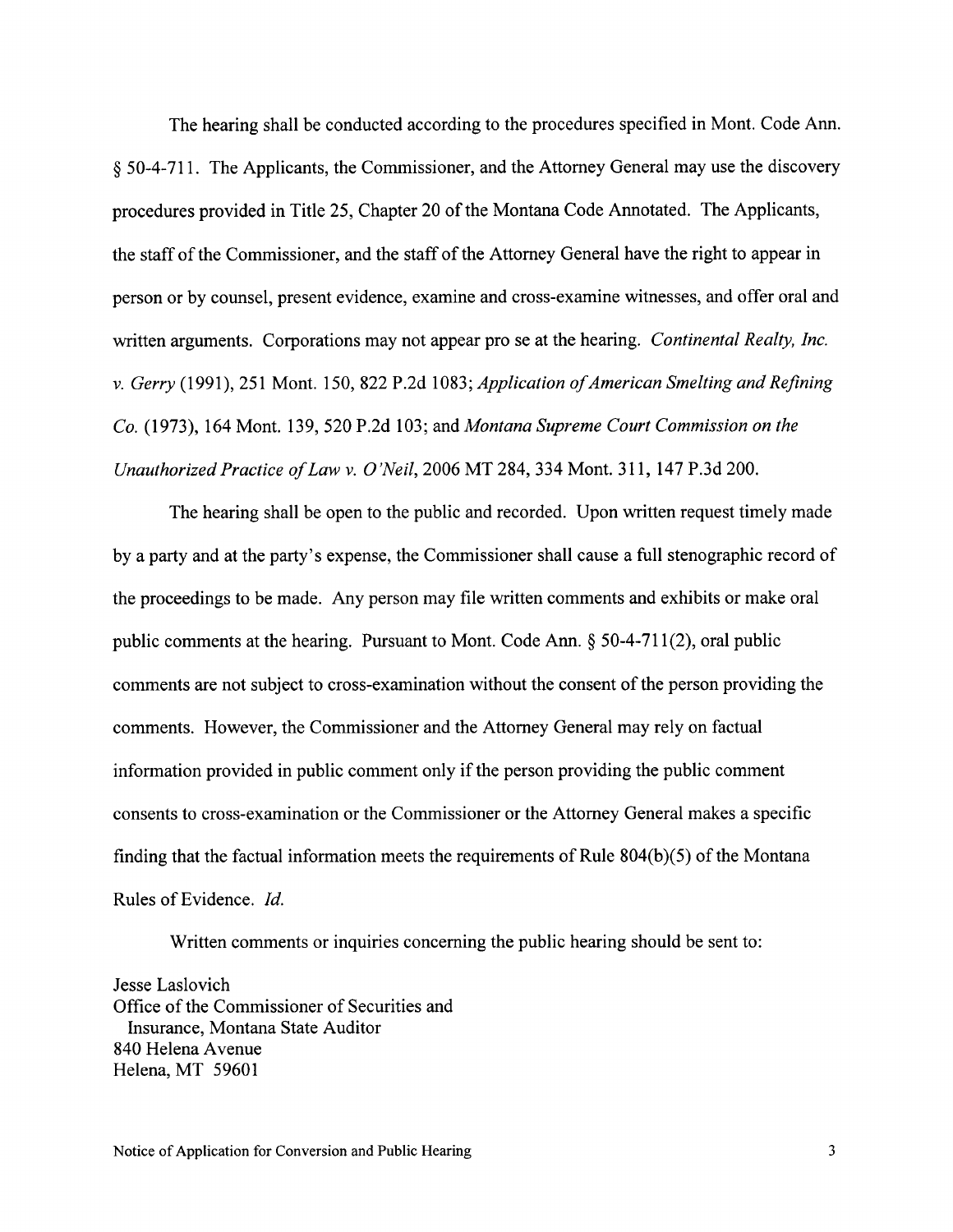The hearing shall be conducted according to the procedures specified in Mont. Code Ann. \$ 50-4-71 1. The Applicants, the Commissioner, and the Attorney General may use the discovery procedures provided in Title 25, Chapter 20 of the Montana Code Annotated. The Applicants, the staff of the Commissioner, and the staff of the Attorney General have the right to appear in person or by counsel, present evidence, examine and cross-examine witnesses, and offer oral and written arguments. Corporations may not appear pro se at the hearing. Continental Realty, Inc. v. Gerry (1991), 251 Mont. 150,822 P.2d 1083; Application of American Smelting and Refining Co. (1973), 164 Mont. 139, 520 P.2d 103; and Montana Supreme Court Commission on the Unauthorized Practice of Law v. O'Neil, 2006 MT 284, 334 Mont. 311, 147 P.3d 200.

The hearing shall be open to the public and recorded. Upon written request timely made by a party and at the party's expense, the Commissioner shall cause a full stenographic record of the proceedings to be made. Any person may file written comments and exhibits or make oral public comments at the hearing. Pursuant to Mont. Code Ann. \$ 50-4-71I(2), oral public comments are not subject to cross-examination without the consent of the person providing the comments. However, the Commissioner and the Attorney General may rely on factual information provided in public comment only if the person providing the public comment consents to cross-examination or the Commissioner or the Attorney General makes a specific finding that the factual information meets the requirements of Rule  $804(b)(5)$  of the Montana Rules of Evidence. Id.

Written comments or inquiries concerning the public hearing should be sent to:

Jesse Laslovich Office of the Commissioner of Securities and Insurance, Montana State Auditor 840 Helena Avenue Helena, MT 59601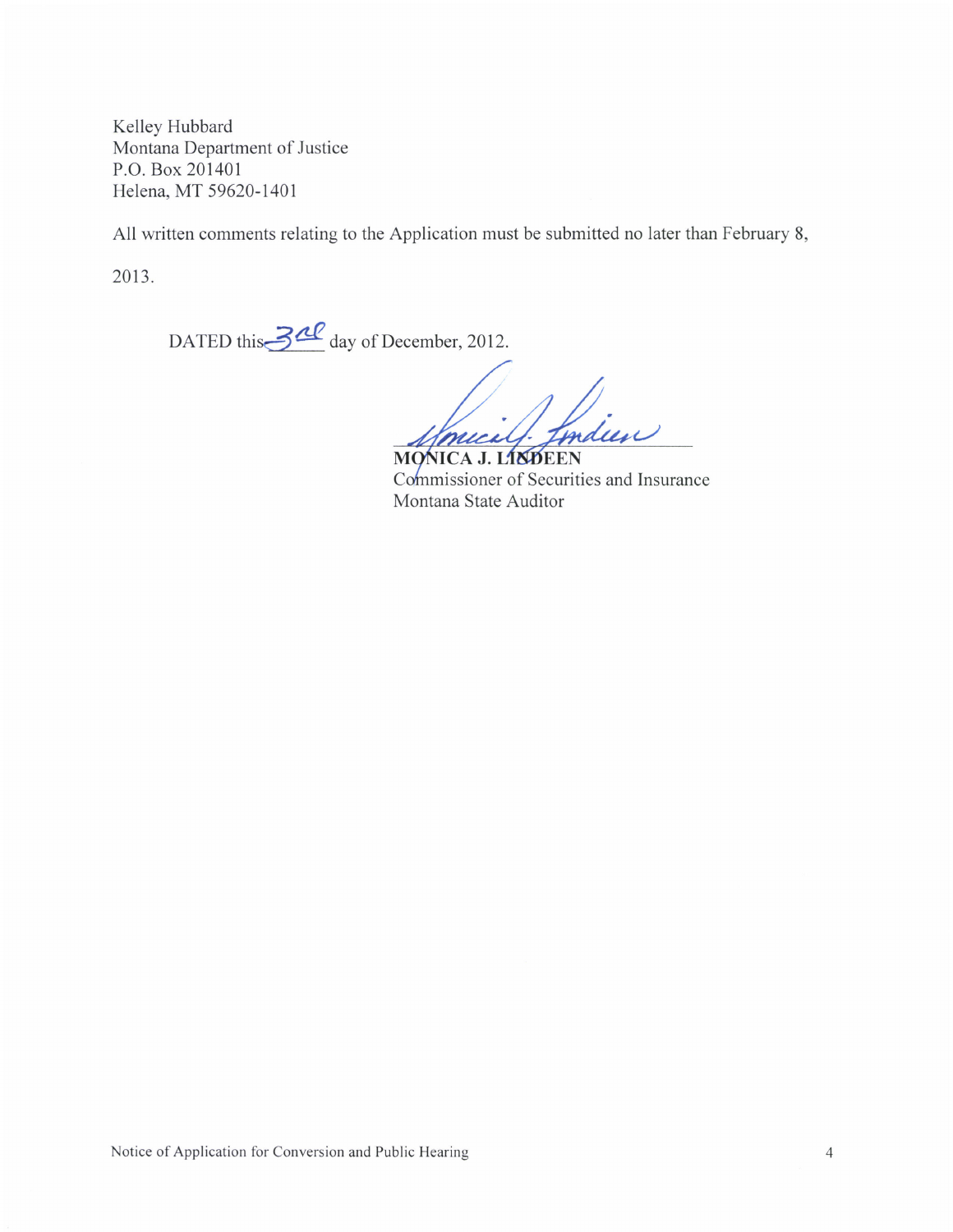Kelley Hubbard Montana Department of Justice P.O. Box 201401 Helena, MT 59620-1401

All written comments relating to the Application must be submitted no later than February 8,

2013.

DATED this 3<sup>20</sup> day of December, 2012.

mucil fondeen

MONICA J. LINDEEN Commissioner of Securities and Insurance Montana State Auditor